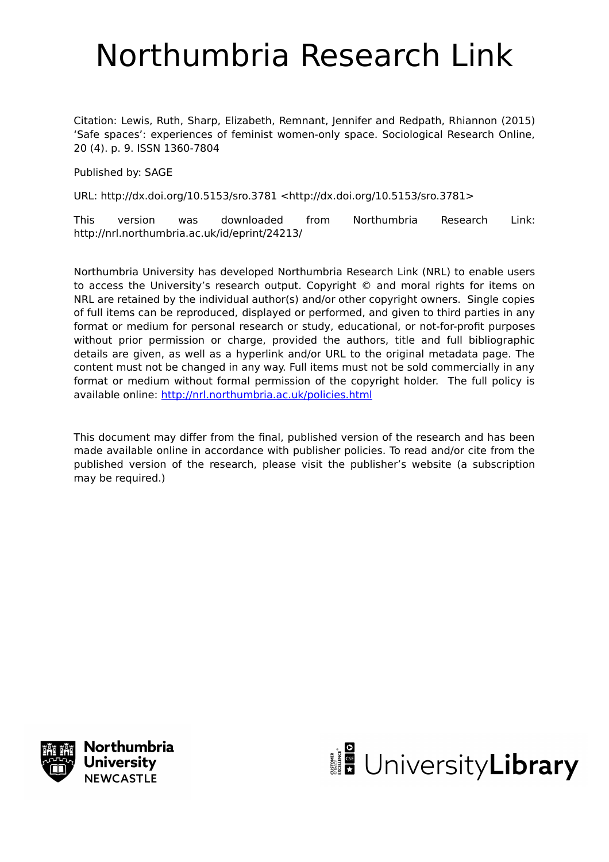# Northumbria Research Link

Citation: Lewis, Ruth, Sharp, Elizabeth, Remnant, Jennifer and Redpath, Rhiannon (2015) 'Safe spaces': experiences of feminist women-only space. Sociological Research Online, 20 (4). p. 9. ISSN 1360-7804

Published by: SAGE

URL: http://dx.doi.org/10.5153/sro.3781 <http://dx.doi.org/10.5153/sro.3781>

This version was downloaded from Northumbria Research Link: http://nrl.northumbria.ac.uk/id/eprint/24213/

Northumbria University has developed Northumbria Research Link (NRL) to enable users to access the University's research output. Copyright © and moral rights for items on NRL are retained by the individual author(s) and/or other copyright owners. Single copies of full items can be reproduced, displayed or performed, and given to third parties in any format or medium for personal research or study, educational, or not-for-profit purposes without prior permission or charge, provided the authors, title and full bibliographic details are given, as well as a hyperlink and/or URL to the original metadata page. The content must not be changed in any way. Full items must not be sold commercially in any format or medium without formal permission of the copyright holder. The full policy is available online:<http://nrl.northumbria.ac.uk/policies.html>

This document may differ from the final, published version of the research and has been made available online in accordance with publisher policies. To read and/or cite from the published version of the research, please visit the publisher's website (a subscription may be required.)



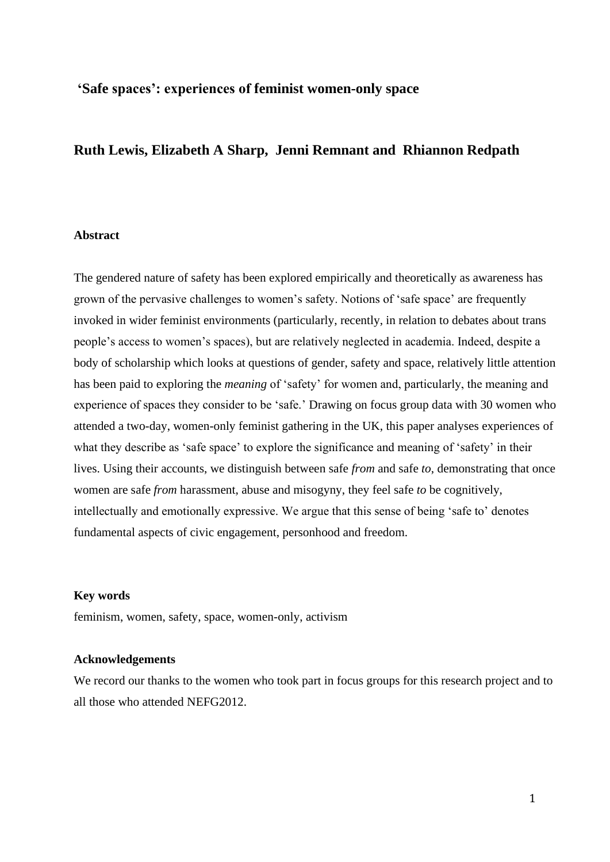# **'Safe spaces': experiences of feminist women-only space**

# **Ruth Lewis, Elizabeth A Sharp, Jenni Remnant and Rhiannon Redpath**

#### **Abstract**

The gendered nature of safety has been explored empirically and theoretically as awareness has grown of the pervasive challenges to women's safety. Notions of 'safe space' are frequently invoked in wider feminist environments (particularly, recently, in relation to debates about trans people's access to women's spaces), but are relatively neglected in academia. Indeed, despite a body of scholarship which looks at questions of gender, safety and space, relatively little attention has been paid to exploring the *meaning* of 'safety' for women and, particularly, the meaning and experience of spaces they consider to be 'safe.' Drawing on focus group data with 30 women who attended a two-day, women-only feminist gathering in the UK, this paper analyses experiences of what they describe as 'safe space' to explore the significance and meaning of 'safety' in their lives. Using their accounts, we distinguish between safe *from* and safe *to*, demonstrating that once women are safe *from* harassment, abuse and misogyny, they feel safe *to* be cognitively, intellectually and emotionally expressive. We argue that this sense of being 'safe to' denotes fundamental aspects of civic engagement, personhood and freedom.

#### **Key words**

feminism, women, safety, space, women-only, activism

## **Acknowledgements**

We record our thanks to the women who took part in focus groups for this research project and to all those who attended NEFG2012.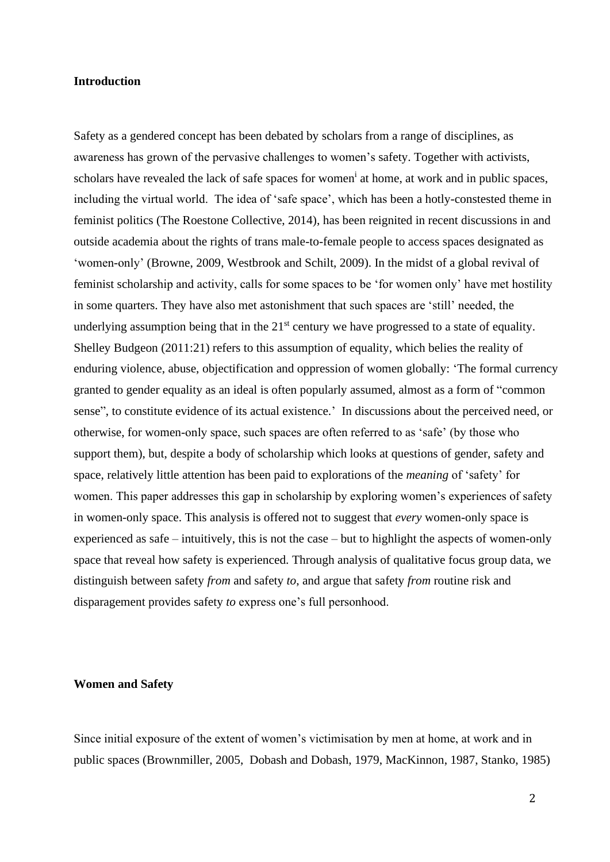#### **Introduction**

Safety as a gendered concept has been debated by scholars from a range of disciplines, as awareness has grown of the pervasive challenges to women's safety. Together with activists, scholars have revealed the lack of safe spaces for women<sup>i</sup> at home, at work and in public spaces, including the virtual world. The idea of 'safe space', which has been a hotly-constested theme in feminist politics [\(The Roestone Collective, 2014\)](#page-24-0), has been reignited in recent discussions in and outside academia about the rights of trans male-to-female people to access spaces designated as 'women-only' [\(Browne, 2009,](#page-22-0) [Westbrook and Schilt, 2009\)](#page-24-1). In the midst of a global revival of feminist scholarship and activity, calls for some spaces to be 'for women only' have met hostility in some quarters. They have also met astonishment that such spaces are 'still' needed, the underlying assumption being that in the  $21<sup>st</sup>$  century we have progressed to a state of equality. Shelley Budgeon [\(2011:21\)](#page-22-1) refers to this assumption of equality, which belies the reality of enduring violence, abuse, objectification and oppression of women globally: 'The formal currency granted to gender equality as an ideal is often popularly assumed, almost as a form of "common sense", to constitute evidence of its actual existence.' In discussions about the perceived need, or otherwise, for women-only space, such spaces are often referred to as 'safe' (by those who support them), but, despite a body of scholarship which looks at questions of gender, safety and space, relatively little attention has been paid to explorations of the *meaning* of 'safety' for women. This paper addresses this gap in scholarship by exploring women's experiences of safety in women-only space. This analysis is offered not to suggest that *every* women-only space is experienced as safe – intuitively, this is not the case – but to highlight the aspects of women-only space that reveal how safety is experienced. Through analysis of qualitative focus group data, we distinguish between safety *from* and safety *to*, and argue that safety *from* routine risk and disparagement provides safety *to* express one's full personhood.

#### **Women and Safety**

Since initial exposure of the extent of women's victimisation by men at home, at work and in public spaces [\(Brownmiller, 2005,](#page-22-2) [Dobash and Dobash, 1979,](#page-23-0) [MacKinnon, 1987,](#page-23-1) [Stanko, 1985\)](#page-24-2)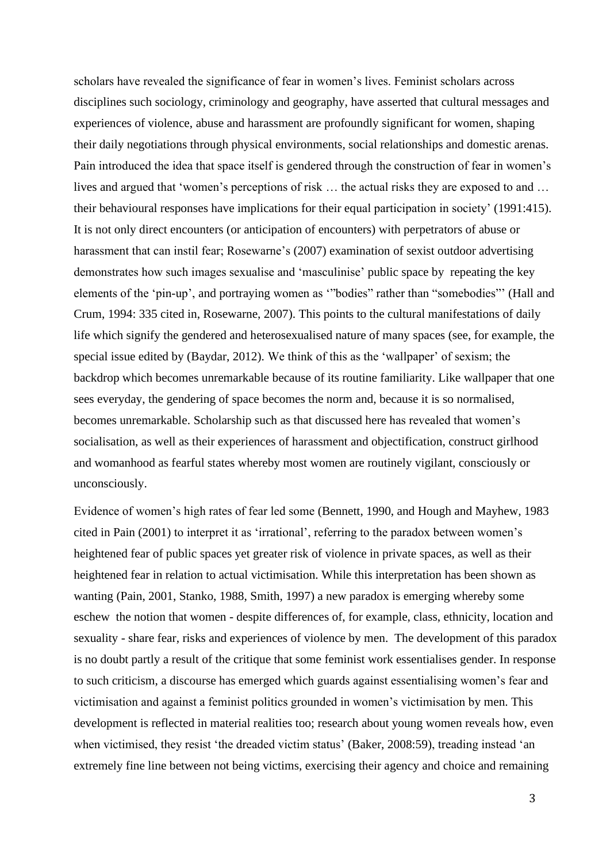scholars have revealed the significance of fear in women's lives. Feminist scholars across disciplines such sociology, criminology and geography, have asserted that cultural messages and experiences of violence, abuse and harassment are profoundly significant for women, shaping their daily negotiations through physical environments, social relationships and domestic arenas. Pain introduced the idea that space itself is gendered through the construction of fear in women's lives and argued that 'women's perceptions of risk … the actual risks they are exposed to and … their behavioural responses have implications for their equal participation in society' [\(1991:415\)](#page-23-2). It is not only direct encounters (or anticipation of encounters) with perpetrators of abuse or harassment that can instil fear; Rosewarne's [\(2007\)](#page-24-3) examination of sexist outdoor advertising demonstrates how such images sexualise and 'masculinise' public space by repeating the key elements of the 'pin-up', and portraying women as '"bodies" rather than "somebodies"' [\(Hall and](#page-23-3)  [Crum, 1994: 335 cited in,](#page-23-3) [Rosewarne, 2007\)](#page-24-3). This points to the cultural manifestations of daily life which signify the gendered and heterosexualised nature of many spaces (see, for example, the special issue edited by [\(Baydar, 2012\)](#page-22-3). We think of this as the 'wallpaper' of sexism; the backdrop which becomes unremarkable because of its routine familiarity. Like wallpaper that one sees everyday, the gendering of space becomes the norm and, because it is so normalised, becomes unremarkable. Scholarship such as that discussed here has revealed that women's socialisation, as well as their experiences of harassment and objectification, construct girlhood and womanhood as fearful states whereby most women are routinely vigilant, consciously or unconsciously.

Evidence of women's high rates of fear led some (Bennett, 1990, and Hough and Mayhew, 1983 cited in [Pain \(2001\)](#page-23-4) to interpret it as 'irrational', referring to the paradox between women's heightened fear of public spaces yet greater risk of violence in private spaces, as well as their heightened fear in relation to actual victimisation. While this interpretation has been shown as wanting [\(Pain, 2001,](#page-23-4) [Stanko, 1988,](#page-24-4) [Smith, 1997\)](#page-24-5) a new paradox is emerging whereby some eschew the notion that women - despite differences of, for example, class, ethnicity, location and sexuality - share fear, risks and experiences of violence by men. The development of this paradox is no doubt partly a result of the critique that some feminist work essentialises gender. In response to such criticism, a discourse has emerged which guards against essentialising women's fear and victimisation and against a feminist politics grounded in women's victimisation by men. This development is reflected in material realities too; research about young women reveals how, even when victimised, they resist 'the dreaded victim status' [\(Baker, 2008:59\)](#page-22-4), treading instead 'an extremely fine line between not being victims, exercising their agency and choice and remaining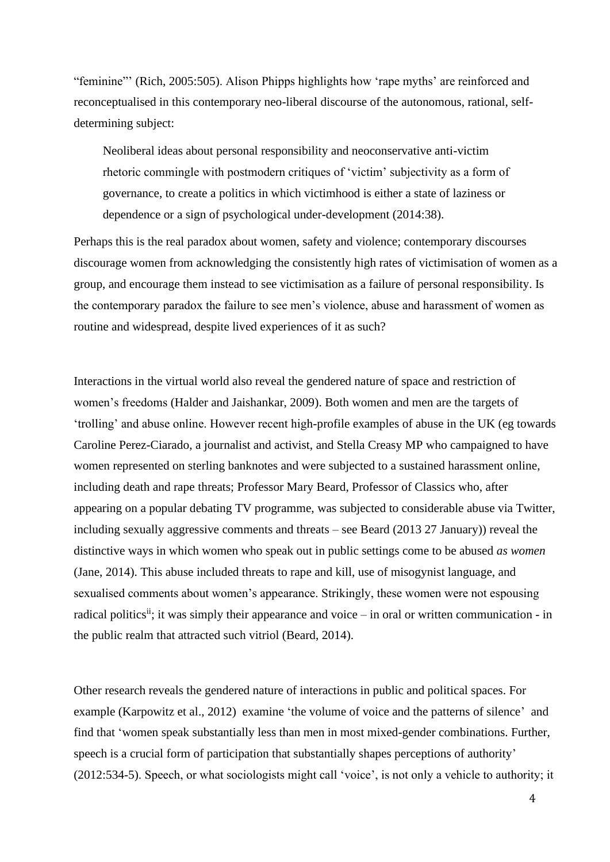"feminine"' [\(Rich, 2005:505\)](#page-24-6). Alison Phipps highlights how 'rape myths' are reinforced and reconceptualised in this contemporary neo-liberal discourse of the autonomous, rational, selfdetermining subject:

Neoliberal ideas about personal responsibility and neoconservative anti-victim rhetoric commingle with postmodern critiques of 'victim' subjectivity as a form of governance, to create a politics in which victimhood is either a state of laziness or dependence or a sign of psychological under-development [\(2014:38\)](#page-24-7).

Perhaps this is the real paradox about women, safety and violence; contemporary discourses discourage women from acknowledging the consistently high rates of victimisation of women as a group, and encourage them instead to see victimisation as a failure of personal responsibility. Is the contemporary paradox the failure to see men's violence, abuse and harassment of women as routine and widespread, despite lived experiences of it as such?

Interactions in the virtual world also reveal the gendered nature of space and restriction of women's freedoms [\(Halder and Jaishankar, 2009\)](#page-23-5). Both women and men are the targets of 'trolling' and abuse online. However recent high-profile examples of abuse in the UK (eg towards Caroline Perez-Ciarado, a journalist and activist, and Stella Creasy MP who campaigned to have women represented on sterling banknotes and were subjected to a sustained harassment online, including death and rape threats; Professor Mary Beard, Professor of Classics who, after appearing on a popular debating TV programme, was subjected to considerable abuse via Twitter, including sexually aggressive comments and threats – see [Beard \(2013 27 January\)\)](#page-22-5) reveal the distinctive ways in which women who speak out in public settings come to be abused *as women* [\(Jane, 2014\)](#page-23-6). This abuse included threats to rape and kill, use of misogynist language, and sexualised comments about women's appearance. Strikingly, these women were not espousing radical politics<sup>ii</sup>; it was simply their appearance and voice – in oral or written communication - in the public realm that attracted such vitriol [\(Beard, 2014\)](#page-22-6).

Other research reveals the gendered nature of interactions in public and political spaces. For example [\(Karpowitz et al., 2012\)](#page-23-7) examine 'the volume of voice and the patterns of silence' and find that 'women speak substantially less than men in most mixed-gender combinations. Further, speech is a crucial form of participation that substantially shapes perceptions of authority' [\(2012:534-5\)](#page-23-7). Speech, or what sociologists might call 'voice', is not only a vehicle to authority; it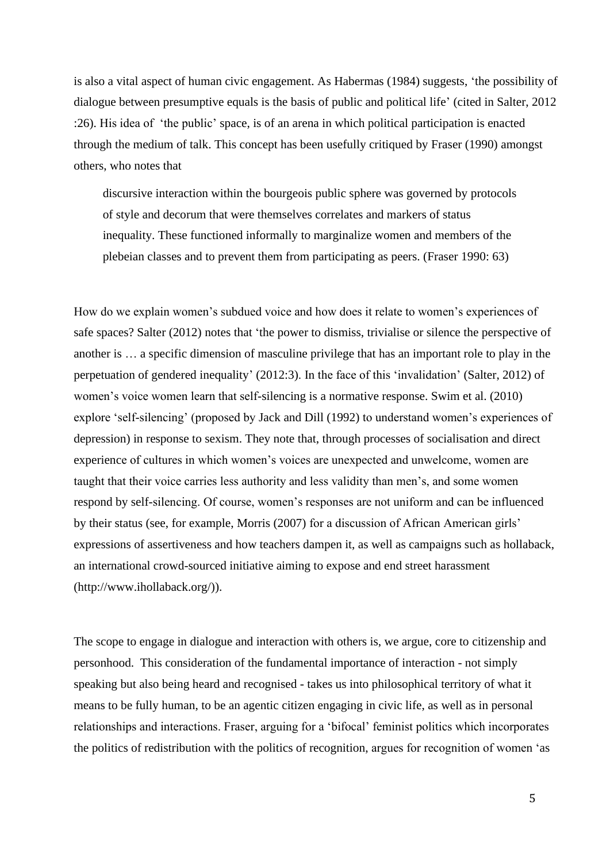is also a vital aspect of human civic engagement. As Habermas (1984) suggests, 'the possibility of dialogue between presumptive equals is the basis of public and political life' [\(cited in Salter, 2012](#page-24-8)  [:26\)](#page-24-8). His idea of 'the public' space, is of an arena in which political participation is enacted through the medium of talk. This concept has been usefully critiqued by [Fraser \(1990\)](#page-23-8) amongst others, who notes that

discursive interaction within the bourgeois public sphere was governed by protocols of style and decorum that were themselves correlates and markers of status inequality. These functioned informally to marginalize women and members of the plebeian classes and to prevent them from participating as peers. (Fraser 1990: 63)

How do we explain women's subdued voice and how does it relate to women's experiences of safe spaces? [Salter \(2012\)](#page-24-8) notes that 'the power to dismiss, trivialise or silence the perspective of another is … a specific dimension of masculine privilege that has an important role to play in the perpetuation of gendered inequality' [\(2012:3\)](#page-24-8). In the face of this 'invalidation' [\(Salter, 2012\)](#page-24-8) of women's voice women learn that self-silencing is a normative response. [Swim et al. \(2010\)](#page-24-9) explore 'self-silencing' (proposed by [Jack and Dill \(1992\)](#page-23-9) to understand women's experiences of depression) in response to sexism. They note that, through processes of socialisation and direct experience of cultures in which women's voices are unexpected and unwelcome, women are taught that their voice carries less authority and less validity than men's, and some women respond by self-silencing. Of course, women's responses are not uniform and can be influenced by their status (see, for example, [Morris \(2007\)](#page-23-10) for a discussion of African American girls' expressions of assertiveness and how teachers dampen it, as well as campaigns such as hollaback, an international crowd-sourced initiative aiming to expose and end street harassment (http://www.ihollaback.org/)).

The scope to engage in dialogue and interaction with others is, we argue, core to citizenship and personhood. This consideration of the fundamental importance of interaction - not simply speaking but also being heard and recognised - takes us into philosophical territory of what it means to be fully human, to be an agentic citizen engaging in civic life, as well as in personal relationships and interactions. Fraser, arguing for a 'bifocal' feminist politics which incorporates the politics of redistribution with the politics of recognition, argues for recognition of women 'as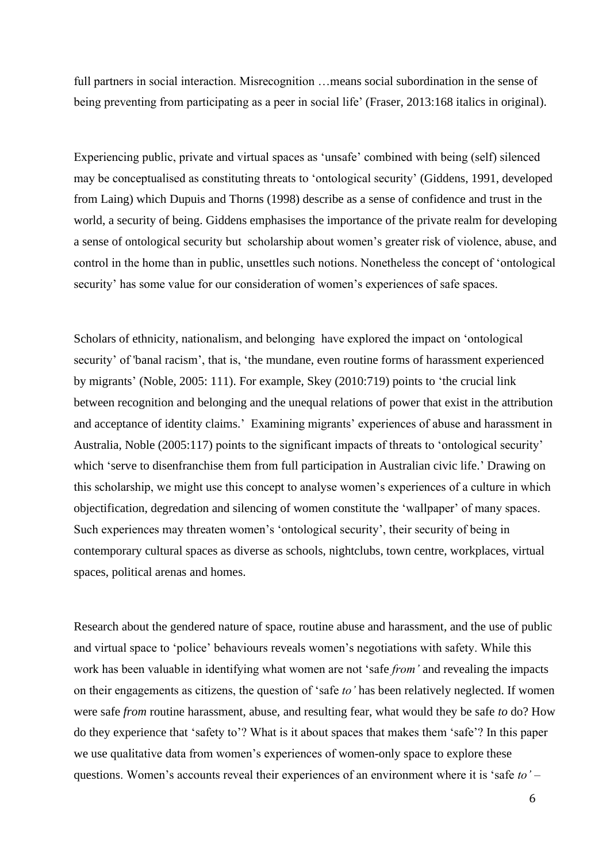full partners in social interaction. Misrecognition ... means social subordination in the sense of being preventing from participating as a peer in social life' [\(Fraser, 2013:168 italics in original\)](#page-23-11).

Experiencing public, private and virtual spaces as 'unsafe' combined with being (self) silenced may be conceptualised as constituting threats to 'ontological security' [\(Giddens, 1991, developed](#page-23-12)  [from Laing\)](#page-23-12) which [Dupuis and Thorns \(1998\)](#page-23-13) describe as a sense of confidence and trust in the world, a security of being. Giddens emphasises the importance of the private realm for developing a sense of ontological security but scholarship about women's greater risk of violence, abuse, and control in the home than in public, unsettles such notions. Nonetheless the concept of 'ontological security' has some value for our consideration of women's experiences of safe spaces.

Scholars of ethnicity, nationalism, and belonging have explored the impact on 'ontological security' of 'banal racism', that is, 'the mundane, even routine forms of harassment experienced by migrants' (Noble, 2005: 111). For example, [Skey \(2010:719\)](#page-24-10) points to 'the crucial link between recognition and belonging and the unequal relations of power that exist in the attribution and acceptance of identity claims.' Examining migrants' experiences of abuse and harassment in Australia, [Noble \(2005:117\)](#page-23-14) points to the significant impacts of threats to 'ontological security' which 'serve to disenfranchise them from full participation in Australian civic life.' Drawing on this scholarship, we might use this concept to analyse women's experiences of a culture in which objectification, degredation and silencing of women constitute the 'wallpaper' of many spaces. Such experiences may threaten women's 'ontological security', their security of being in contemporary cultural spaces as diverse as schools, nightclubs, town centre, workplaces, virtual spaces, political arenas and homes.

Research about the gendered nature of space, routine abuse and harassment, and the use of public and virtual space to 'police' behaviours reveals women's negotiations with safety. While this work has been valuable in identifying what women are not 'safe *from'* and revealing the impacts on their engagements as citizens, the question of 'safe *to'* has been relatively neglected. If women were safe *from* routine harassment, abuse, and resulting fear, what would they be safe *to* do? How do they experience that 'safety to'? What is it about spaces that makes them 'safe'? In this paper we use qualitative data from women's experiences of women-only space to explore these questions. Women's accounts reveal their experiences of an environment where it is 'safe *to'* –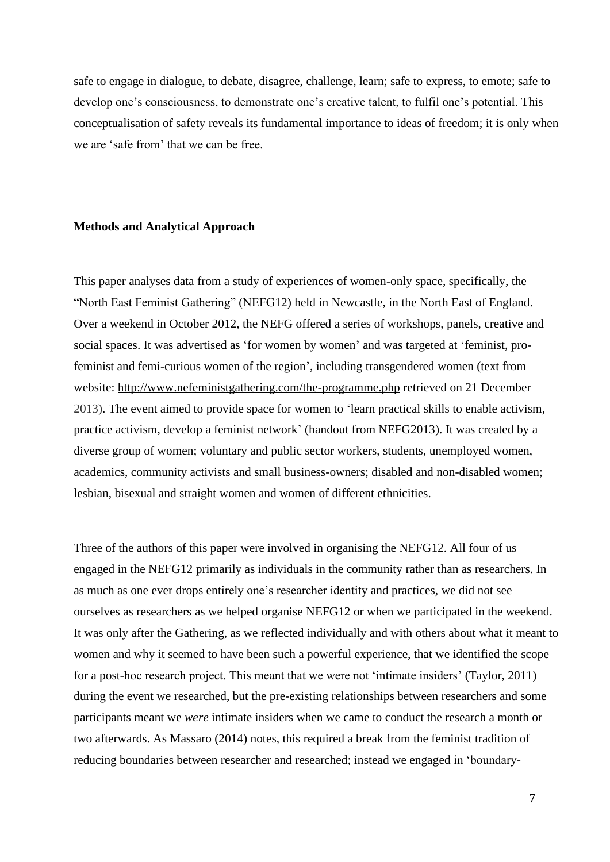safe to engage in dialogue, to debate, disagree, challenge, learn; safe to express, to emote; safe to develop one's consciousness, to demonstrate one's creative talent, to fulfil one's potential. This conceptualisation of safety reveals its fundamental importance to ideas of freedom; it is only when we are 'safe from' that we can be free.

#### **Methods and Analytical Approach**

This paper analyses data from a study of experiences of women-only space, specifically, the "North East Feminist Gathering" (NEFG12) held in Newcastle, in the North East of England. Over a weekend in October 2012, the NEFG offered a series of workshops, panels, creative and social spaces. It was advertised as 'for women by women' and was targeted at 'feminist, profeminist and femi-curious women of the region', including transgendered women (text from website:<http://www.nefeministgathering.com/the-programme.php> retrieved on 21 December 2013). The event aimed to provide space for women to 'learn practical skills to enable activism, practice activism, develop a feminist network' (handout from NEFG2013). It was created by a diverse group of women; voluntary and public sector workers, students, unemployed women, academics, community activists and small business-owners; disabled and non-disabled women; lesbian, bisexual and straight women and women of different ethnicities.

Three of the authors of this paper were involved in organising the NEFG12. All four of us engaged in the NEFG12 primarily as individuals in the community rather than as researchers. In as much as one ever drops entirely one's researcher identity and practices, we did not see ourselves as researchers as we helped organise NEFG12 or when we participated in the weekend. It was only after the Gathering, as we reflected individually and with others about what it meant to women and why it seemed to have been such a powerful experience, that we identified the scope for a post-hoc research project. This meant that we were not 'intimate insiders' [\(Taylor, 2011\)](#page-24-11) during the event we researched, but the pre-existing relationships between researchers and some participants meant we *were* intimate insiders when we came to conduct the research a month or two afterwards. As [Massaro \(2014\)](#page-23-15) notes, this required a break from the feminist tradition of reducing boundaries between researcher and researched; instead we engaged in 'boundary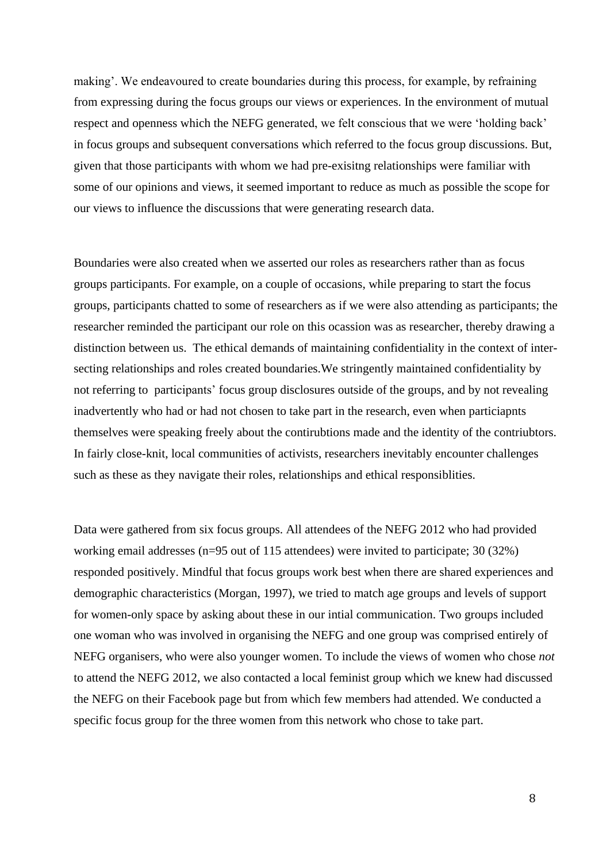making'. We endeavoured to create boundaries during this process, for example, by refraining from expressing during the focus groups our views or experiences. In the environment of mutual respect and openness which the NEFG generated, we felt conscious that we were 'holding back' in focus groups and subsequent conversations which referred to the focus group discussions. But, given that those participants with whom we had pre-exisitng relationships were familiar with some of our opinions and views, it seemed important to reduce as much as possible the scope for our views to influence the discussions that were generating research data.

Boundaries were also created when we asserted our roles as researchers rather than as focus groups participants. For example, on a couple of occasions, while preparing to start the focus groups, participants chatted to some of researchers as if we were also attending as participants; the researcher reminded the participant our role on this ocassion was as researcher, thereby drawing a distinction between us. The ethical demands of maintaining confidentiality in the context of intersecting relationships and roles created boundaries.We stringently maintained confidentiality by not referring to participants' focus group disclosures outside of the groups, and by not revealing inadvertently who had or had not chosen to take part in the research, even when particiapnts themselves were speaking freely about the contirubtions made and the identity of the contriubtors. In fairly close-knit, local communities of activists, researchers inevitably encounter challenges such as these as they navigate their roles, relationships and ethical responsiblities.

Data were gathered from six focus groups. All attendees of the NEFG 2012 who had provided working email addresses (n=95 out of 115 attendees) were invited to participate; 30 (32%) responded positively. Mindful that focus groups work best when there are shared experiences and demographic characteristics [\(Morgan, 1997\)](#page-23-16), we tried to match age groups and levels of support for women-only space by asking about these in our intial communication. Two groups included one woman who was involved in organising the NEFG and one group was comprised entirely of NEFG organisers, who were also younger women. To include the views of women who chose *not* to attend the NEFG 2012, we also contacted a local feminist group which we knew had discussed the NEFG on their Facebook page but from which few members had attended. We conducted a specific focus group for the three women from this network who chose to take part.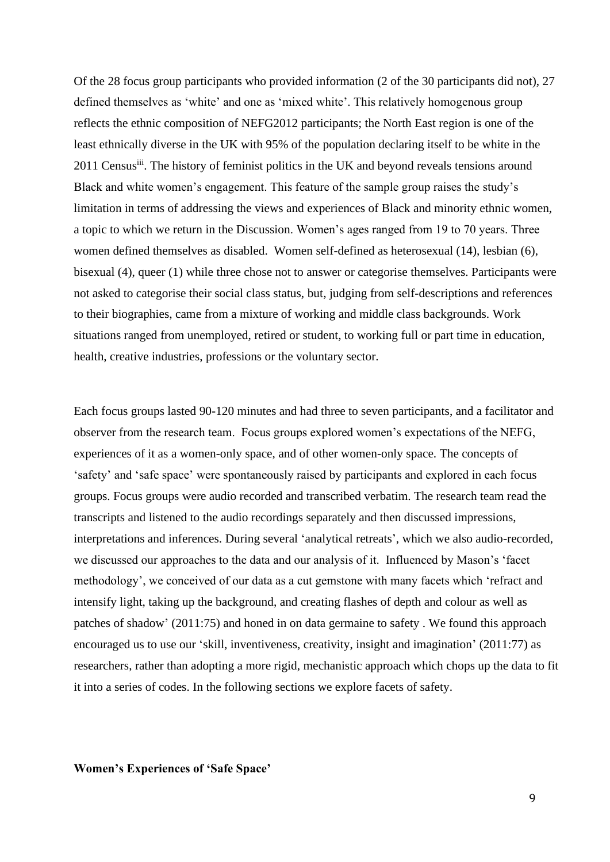Of the 28 focus group participants who provided information (2 of the 30 participants did not), 27 defined themselves as 'white' and one as 'mixed white'. This relatively homogenous group reflects the ethnic composition of NEFG2012 participants; the North East region is one of the least ethnically diverse in the UK with 95% of the population declaring itself to be white in the 2011 Census<sup>iii</sup>. The history of feminist politics in the UK and beyond reveals tensions around Black and white women's engagement. This feature of the sample group raises the study's limitation in terms of addressing the views and experiences of Black and minority ethnic women, a topic to which we return in the Discussion. Women's ages ranged from 19 to 70 years. Three women defined themselves as disabled. Women self-defined as heterosexual (14), lesbian (6), bisexual (4), queer (1) while three chose not to answer or categorise themselves. Participants were not asked to categorise their social class status, but, judging from self-descriptions and references to their biographies, came from a mixture of working and middle class backgrounds. Work situations ranged from unemployed, retired or student, to working full or part time in education, health, creative industries, professions or the voluntary sector.

Each focus groups lasted 90-120 minutes and had three to seven participants, and a facilitator and observer from the research team. Focus groups explored women's expectations of the NEFG, experiences of it as a women-only space, and of other women-only space. The concepts of 'safety' and 'safe space' were spontaneously raised by participants and explored in each focus groups. Focus groups were audio recorded and transcribed verbatim. The research team read the transcripts and listened to the audio recordings separately and then discussed impressions, interpretations and inferences. During several 'analytical retreats', which we also audio-recorded, we discussed our approaches to the data and our analysis of it. Influenced by Mason's 'facet methodology', we conceived of our data as a cut gemstone with many facets which 'refract and intensify light, taking up the background, and creating flashes of depth and colour as well as patches of shadow' [\(2011:75\)](#page-23-17) and honed in on data germaine to safety . We found this approach encouraged us to use our 'skill, inventiveness, creativity, insight and imagination' [\(2011:77\)](#page-23-17) as researchers, rather than adopting a more rigid, mechanistic approach which chops up the data to fit it into a series of codes. In the following sections we explore facets of safety.

**Women's Experiences of 'Safe Space'**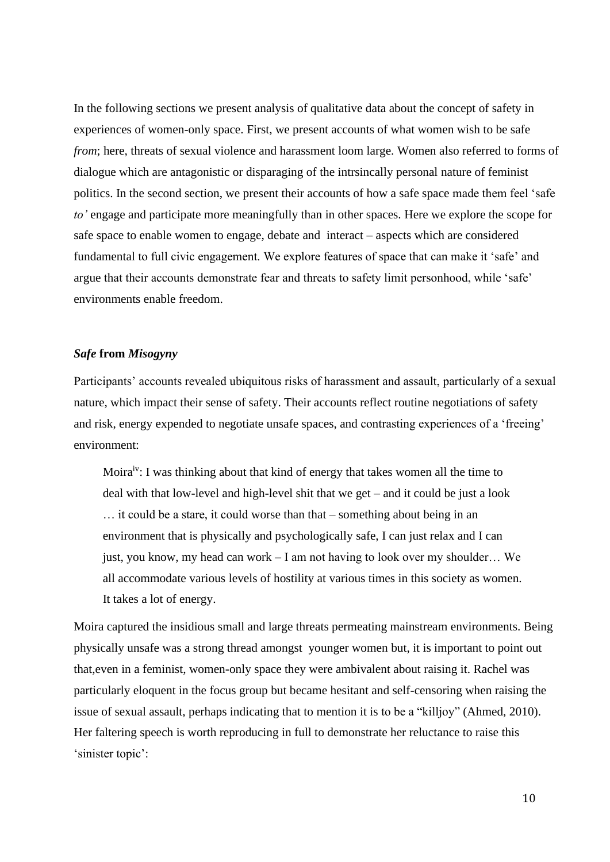In the following sections we present analysis of qualitative data about the concept of safety in experiences of women-only space. First, we present accounts of what women wish to be safe *from*; here, threats of sexual violence and harassment loom large. Women also referred to forms of dialogue which are antagonistic or disparaging of the intrsincally personal nature of feminist politics. In the second section, we present their accounts of how a safe space made them feel 'safe *to'* engage and participate more meaningfully than in other spaces. Here we explore the scope for safe space to enable women to engage, debate and interact – aspects which are considered fundamental to full civic engagement. We explore features of space that can make it 'safe' and argue that their accounts demonstrate fear and threats to safety limit personhood, while 'safe' environments enable freedom.

# *Safe* **from** *Misogyny*

Participants' accounts revealed ubiquitous risks of harassment and assault, particularly of a sexual nature, which impact their sense of safety. Their accounts reflect routine negotiations of safety and risk, energy expended to negotiate unsafe spaces, and contrasting experiences of a 'freeing' environment:

Moira<sup>iv</sup>: I was thinking about that kind of energy that takes women all the time to deal with that low-level and high-level shit that we get – and it could be just a look … it could be a stare, it could worse than that – something about being in an environment that is physically and psychologically safe, I can just relax and I can just, you know, my head can work – I am not having to look over my shoulder… We all accommodate various levels of hostility at various times in this society as women. It takes a lot of energy.

Moira captured the insidious small and large threats permeating mainstream environments. Being physically unsafe was a strong thread amongst younger women but, it is important to point out that,even in a feminist, women-only space they were ambivalent about raising it. Rachel was particularly eloquent in the focus group but became hesitant and self-censoring when raising the issue of sexual assault, perhaps indicating that to mention it is to be a "killjoy" [\(Ahmed, 2010\)](#page-22-7). Her faltering speech is worth reproducing in full to demonstrate her reluctance to raise this 'sinister topic':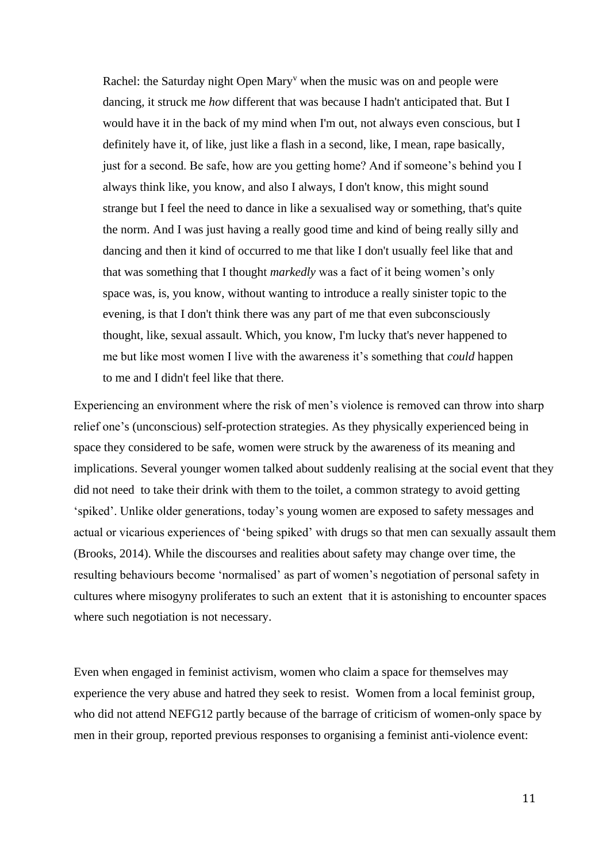Rachel: the Saturday night Open Mary<sup>v</sup> when the music was on and people were dancing, it struck me *how* different that was because I hadn't anticipated that. But I would have it in the back of my mind when I'm out, not always even conscious, but I definitely have it, of like, just like a flash in a second, like, I mean, rape basically, just for a second. Be safe, how are you getting home? And if someone's behind you I always think like, you know, and also I always, I don't know, this might sound strange but I feel the need to dance in like a sexualised way or something, that's quite the norm. And I was just having a really good time and kind of being really silly and dancing and then it kind of occurred to me that like I don't usually feel like that and that was something that I thought *markedly* was a fact of it being women's only space was, is, you know, without wanting to introduce a really sinister topic to the evening, is that I don't think there was any part of me that even subconsciously thought, like, sexual assault. Which, you know, I'm lucky that's never happened to me but like most women I live with the awareness it's something that *could* happen to me and I didn't feel like that there.

Experiencing an environment where the risk of men's violence is removed can throw into sharp relief one's (unconscious) self-protection strategies. As they physically experienced being in space they considered to be safe, women were struck by the awareness of its meaning and implications. Several younger women talked about suddenly realising at the social event that they did not need to take their drink with them to the toilet, a common strategy to avoid getting 'spiked'. Unlike older generations, today's young women are exposed to safety messages and actual or vicarious experiences of 'being spiked' with drugs so that men can sexually assault them [\(Brooks, 2014\)](#page-22-8). While the discourses and realities about safety may change over time, the resulting behaviours become 'normalised' as part of women's negotiation of personal safety in cultures where misogyny proliferates to such an extent that it is astonishing to encounter spaces where such negotiation is not necessary.

Even when engaged in feminist activism, women who claim a space for themselves may experience the very abuse and hatred they seek to resist. Women from a local feminist group, who did not attend NEFG12 partly because of the barrage of criticism of women-only space by men in their group, reported previous responses to organising a feminist anti-violence event: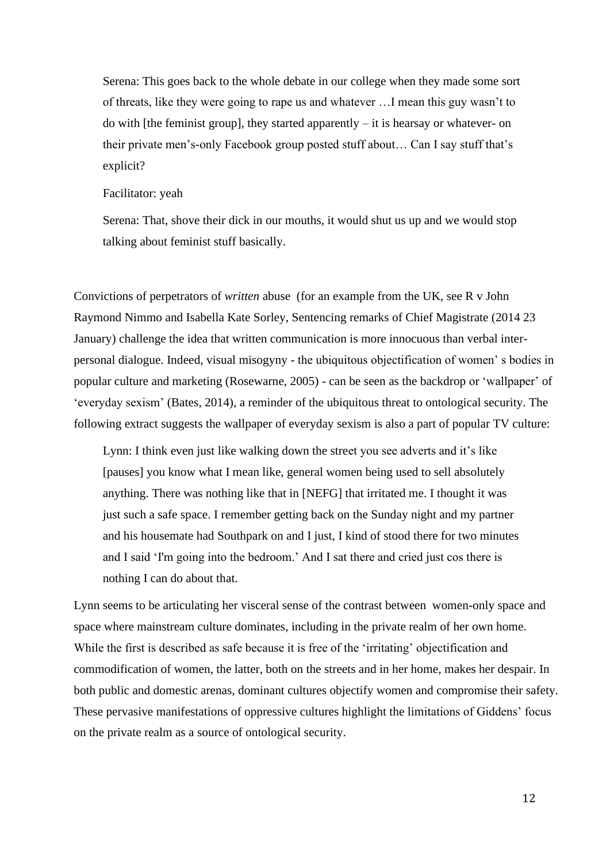Serena: This goes back to the whole debate in our college when they made some sort of threats, like they were going to rape us and whatever …I mean this guy wasn't to do with [the feminist group], they started apparently – it is hearsay or whatever- on their private men's-only Facebook group posted stuff about… Can I say stuff that's explicit?

Facilitator: yeah

Serena: That, shove their dick in our mouths, it would shut us up and we would stop talking about feminist stuff basically.

Convictions of perpetrators of *written* abuse (for an example from the UK, see R v John Raymond Nimmo and Isabella Kate Sorley, [Sentencing remarks of Chief Magistrate \(2014 23](#page-24-12)  January) challenge the idea that written communication is more innocuous than verbal interpersonal dialogue. Indeed, visual misogyny - the ubiquitous objectification of women' s bodies in popular culture and marketing [\(Rosewarne, 2005\)](#page-24-13) - can be seen as the backdrop or 'wallpaper' of 'everyday sexism' (Bates, 2014), a reminder of the ubiquitous threat to ontological security. The following extract suggests the wallpaper of everyday sexism is also a part of popular TV culture:

Lynn: I think even just like walking down the street you see adverts and it's like [pauses] you know what I mean like, general women being used to sell absolutely anything. There was nothing like that in [NEFG] that irritated me. I thought it was just such a safe space. I remember getting back on the Sunday night and my partner and his housemate had Southpark on and I just, I kind of stood there for two minutes and I said 'I'm going into the bedroom.' And I sat there and cried just cos there is nothing I can do about that.

Lynn seems to be articulating her visceral sense of the contrast between women-only space and space where mainstream culture dominates, including in the private realm of her own home. While the first is described as safe because it is free of the 'irritating' objectification and commodification of women, the latter, both on the streets and in her home, makes her despair. In both public and domestic arenas, dominant cultures objectify women and compromise their safety. These pervasive manifestations of oppressive cultures highlight the limitations of Giddens' focus on the private realm as a source of ontological security.

12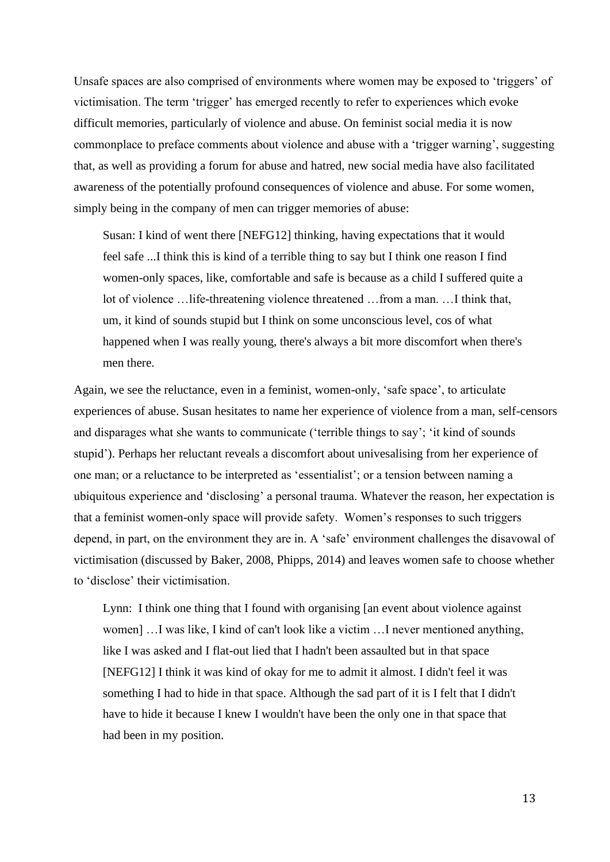Unsafe spaces are also comprised of environments where women may be exposed to 'triggers' of victimisation. The term 'trigger' has emerged recently to refer to experiences which evoke difficult memories, particularly of violence and abuse. On feminist social media it is now commonplace to preface comments about violence and abuse with a 'trigger warning', suggesting that, as well as providing a forum for abuse and hatred, new social media have also facilitated awareness of the potentially profound consequences of violence and abuse. For some women, simply being in the company of men can trigger memories of abuse:

Susan: I kind of went there [NEFG12] thinking, having expectations that it would feel safe ...I think this is kind of a terrible thing to say but I think one reason I find women-only spaces, like, comfortable and safe is because as a child I suffered quite a lot of violence …life-threatening violence threatened …from a man. …I think that, um, it kind of sounds stupid but I think on some unconscious level, cos of what happened when I was really young, there's always a bit more discomfort when there's men there.

Again, we see the reluctance, even in a feminist, women-only, 'safe space', to articulate experiences of abuse. Susan hesitates to name her experience of violence from a man, self-censors and disparages what she wants to communicate ('terrible things to say'; 'it kind of sounds stupid'). Perhaps her reluctant reveals a discomfort about univesalising from her experience of one man; or a reluctance to be interpreted as 'essentialist'; or a tension between naming a ubiquitous experience and 'disclosing' a personal trauma. Whatever the reason, her expectation is that a feminist women-only space will provide safety. Women's responses to such triggers depend, in part, on the environment they are in. A 'safe' environment challenges the disavowal of victimisation (discussed by [Baker, 2008,](#page-22-4) [Phipps, 2014\)](#page-24-7) and leaves women safe to choose whether to 'disclose' their victimisation.

Lynn: I think one thing that I found with organising [an event about violence against women] …I was like, I kind of can't look like a victim …I never mentioned anything, like I was asked and I flat-out lied that I hadn't been assaulted but in that space [NEFG12] I think it was kind of okay for me to admit it almost. I didn't feel it was something I had to hide in that space. Although the sad part of it is I felt that I didn't have to hide it because I knew I wouldn't have been the only one in that space that had been in my position.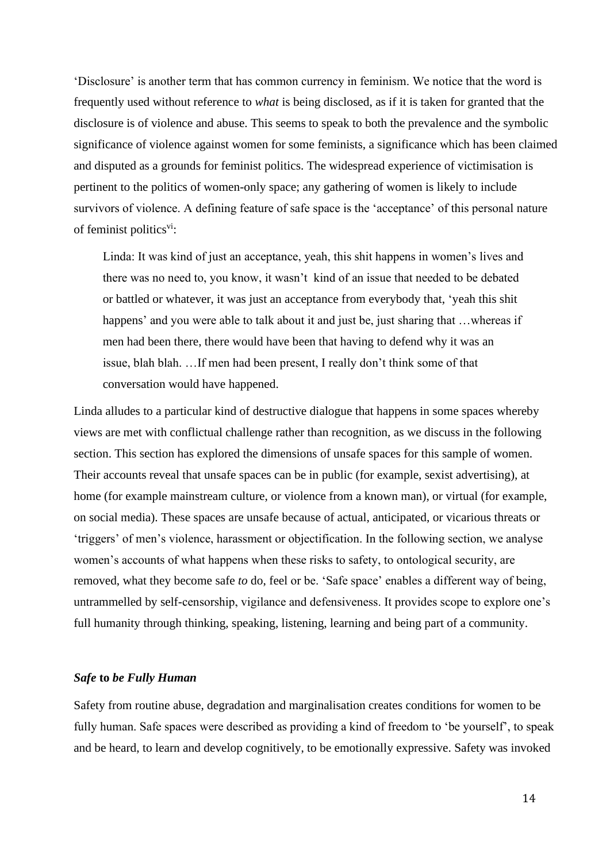'Disclosure' is another term that has common currency in feminism. We notice that the word is frequently used without reference to *what* is being disclosed, as if it is taken for granted that the disclosure is of violence and abuse. This seems to speak to both the prevalence and the symbolic significance of violence against women for some feminists, a significance which has been claimed and disputed as a grounds for feminist politics. The widespread experience of victimisation is pertinent to the politics of women-only space; any gathering of women is likely to include survivors of violence. A defining feature of safe space is the 'acceptance' of this personal nature of feminist politics<sup>vi</sup>:

Linda: It was kind of just an acceptance, yeah, this shit happens in women's lives and there was no need to, you know, it wasn't kind of an issue that needed to be debated or battled or whatever, it was just an acceptance from everybody that, 'yeah this shit happens' and you were able to talk about it and just be, just sharing that …whereas if men had been there, there would have been that having to defend why it was an issue, blah blah. …If men had been present, I really don't think some of that conversation would have happened.

Linda alludes to a particular kind of destructive dialogue that happens in some spaces whereby views are met with conflictual challenge rather than recognition, as we discuss in the following section. This section has explored the dimensions of unsafe spaces for this sample of women. Their accounts reveal that unsafe spaces can be in public (for example, sexist advertising), at home (for example mainstream culture, or violence from a known man), or virtual (for example, on social media). These spaces are unsafe because of actual, anticipated, or vicarious threats or 'triggers' of men's violence, harassment or objectification. In the following section, we analyse women's accounts of what happens when these risks to safety, to ontological security, are removed, what they become safe *to* do, feel or be. 'Safe space' enables a different way of being, untrammelled by self-censorship, vigilance and defensiveness. It provides scope to explore one's full humanity through thinking, speaking, listening, learning and being part of a community.

## *Safe* **to** *be Fully Human*

Safety from routine abuse, degradation and marginalisation creates conditions for women to be fully human. Safe spaces were described as providing a kind of freedom to 'be yourself', to speak and be heard, to learn and develop cognitively, to be emotionally expressive. Safety was invoked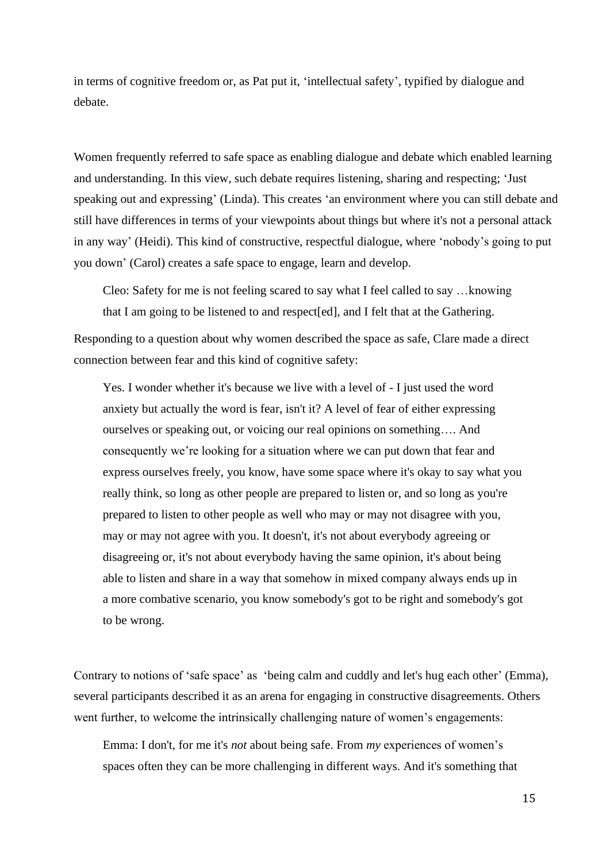in terms of cognitive freedom or, as Pat put it, 'intellectual safety', typified by dialogue and debate.

Women frequently referred to safe space as enabling dialogue and debate which enabled learning and understanding. In this view, such debate requires listening, sharing and respecting; 'Just speaking out and expressing' (Linda). This creates 'an environment where you can still debate and still have differences in terms of your viewpoints about things but where it's not a personal attack in any way' (Heidi). This kind of constructive, respectful dialogue, where 'nobody's going to put you down' (Carol) creates a safe space to engage, learn and develop.

Cleo: Safety for me is not feeling scared to say what I feel called to say …knowing that I am going to be listened to and respect[ed], and I felt that at the Gathering.

Responding to a question about why women described the space as safe, Clare made a direct connection between fear and this kind of cognitive safety:

Yes. I wonder whether it's because we live with a level of - I just used the word anxiety but actually the word is fear, isn't it? A level of fear of either expressing ourselves or speaking out, or voicing our real opinions on something…. And consequently we're looking for a situation where we can put down that fear and express ourselves freely, you know, have some space where it's okay to say what you really think, so long as other people are prepared to listen or, and so long as you're prepared to listen to other people as well who may or may not disagree with you, may or may not agree with you. It doesn't, it's not about everybody agreeing or disagreeing or, it's not about everybody having the same opinion, it's about being able to listen and share in a way that somehow in mixed company always ends up in a more combative scenario, you know somebody's got to be right and somebody's got to be wrong.

Contrary to notions of 'safe space' as 'being calm and cuddly and let's hug each other' (Emma), several participants described it as an arena for engaging in constructive disagreements. Others went further, to welcome the intrinsically challenging nature of women's engagements:

Emma: I don't, for me it's *not* about being safe. From *my* experiences of women's spaces often they can be more challenging in different ways. And it's something that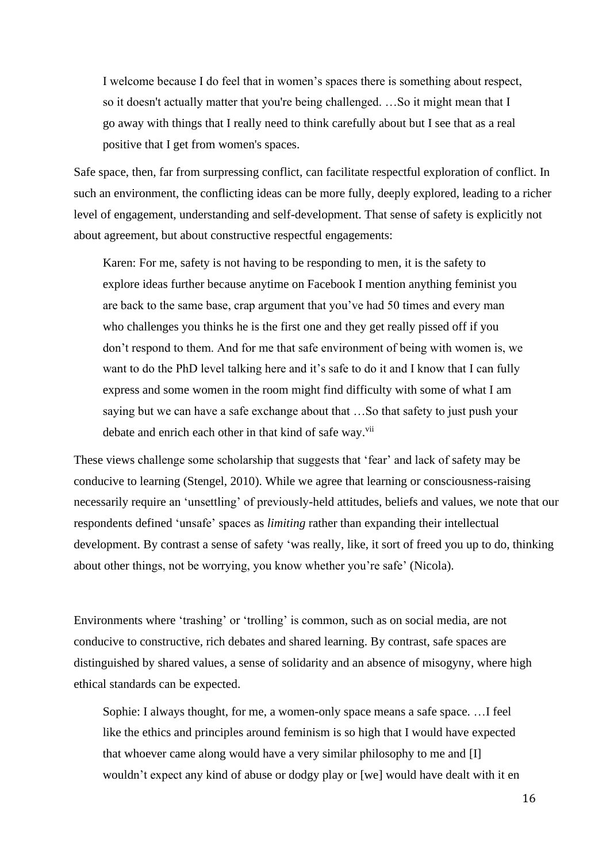I welcome because I do feel that in women's spaces there is something about respect, so it doesn't actually matter that you're being challenged. …So it might mean that I go away with things that I really need to think carefully about but I see that as a real positive that I get from women's spaces.

Safe space, then, far from surpressing conflict, can facilitate respectful exploration of conflict. In such an environment, the conflicting ideas can be more fully, deeply explored, leading to a richer level of engagement, understanding and self-development. That sense of safety is explicitly not about agreement, but about constructive respectful engagements:

Karen: For me, safety is not having to be responding to men, it is the safety to explore ideas further because anytime on Facebook I mention anything feminist you are back to the same base, crap argument that you've had 50 times and every man who challenges you thinks he is the first one and they get really pissed off if you don't respond to them. And for me that safe environment of being with women is, we want to do the PhD level talking here and it's safe to do it and I know that I can fully express and some women in the room might find difficulty with some of what I am saying but we can have a safe exchange about that …So that safety to just push your debate and enrich each other in that kind of safe way.<sup>vii</sup>

These views challenge some scholarship that suggests that 'fear' and lack of safety may be conducive to learning [\(Stengel, 2010\)](#page-24-14). While we agree that learning or consciousness-raising necessarily require an 'unsettling' of previously-held attitudes, beliefs and values, we note that our respondents defined 'unsafe' spaces as *limiting* rather than expanding their intellectual development. By contrast a sense of safety 'was really, like, it sort of freed you up to do, thinking about other things, not be worrying, you know whether you're safe' (Nicola).

Environments where 'trashing' or 'trolling' is common, such as on social media, are not conducive to constructive, rich debates and shared learning. By contrast, safe spaces are distinguished by shared values, a sense of solidarity and an absence of misogyny, where high ethical standards can be expected.

Sophie: I always thought, for me, a women-only space means a safe space. …I feel like the ethics and principles around feminism is so high that I would have expected that whoever came along would have a very similar philosophy to me and [I] wouldn't expect any kind of abuse or dodgy play or [we] would have dealt with it en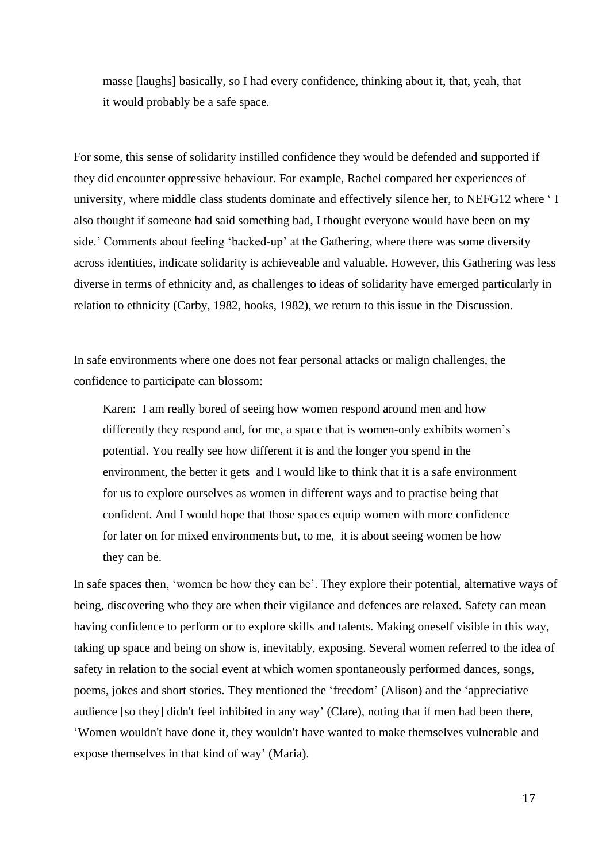masse [laughs] basically, so I had every confidence, thinking about it, that, yeah, that it would probably be a safe space.

For some, this sense of solidarity instilled confidence they would be defended and supported if they did encounter oppressive behaviour. For example, Rachel compared her experiences of university, where middle class students dominate and effectively silence her, to NEFG12 where ' I also thought if someone had said something bad, I thought everyone would have been on my side.' Comments about feeling 'backed-up' at the Gathering, where there was some diversity across identities, indicate solidarity is achieveable and valuable. However, this Gathering was less diverse in terms of ethnicity and, as challenges to ideas of solidarity have emerged particularly in relation to ethnicity [\(Carby, 1982,](#page-22-9) [hooks, 1982\)](#page-23-18), we return to this issue in the Discussion.

In safe environments where one does not fear personal attacks or malign challenges, the confidence to participate can blossom:

Karen: I am really bored of seeing how women respond around men and how differently they respond and, for me, a space that is women-only exhibits women's potential. You really see how different it is and the longer you spend in the environment, the better it gets and I would like to think that it is a safe environment for us to explore ourselves as women in different ways and to practise being that confident. And I would hope that those spaces equip women with more confidence for later on for mixed environments but, to me, it is about seeing women be how they can be.

In safe spaces then, 'women be how they can be'. They explore their potential, alternative ways of being, discovering who they are when their vigilance and defences are relaxed. Safety can mean having confidence to perform or to explore skills and talents. Making oneself visible in this way, taking up space and being on show is, inevitably, exposing. Several women referred to the idea of safety in relation to the social event at which women spontaneously performed dances, songs, poems, jokes and short stories. They mentioned the 'freedom' (Alison) and the 'appreciative audience [so they] didn't feel inhibited in any way' (Clare), noting that if men had been there, 'Women wouldn't have done it, they wouldn't have wanted to make themselves vulnerable and expose themselves in that kind of way' (Maria).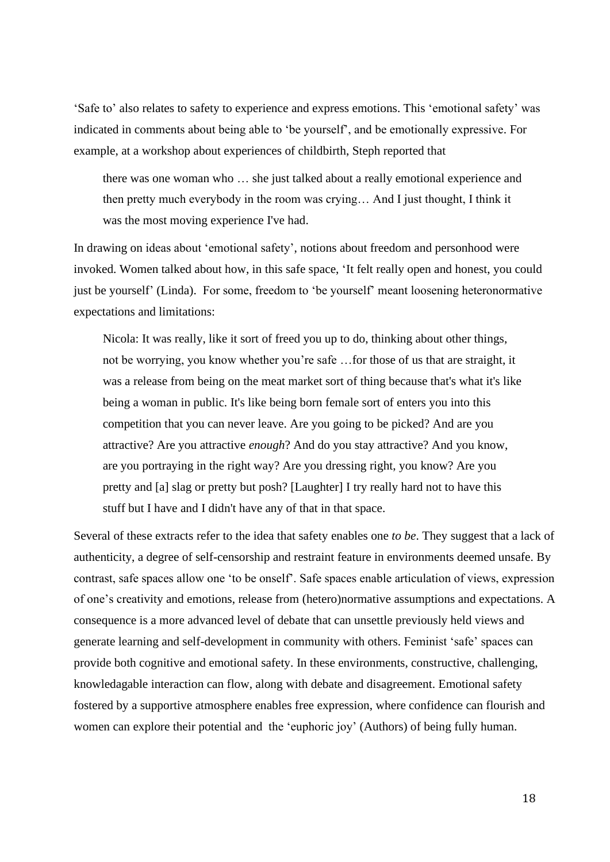'Safe to' also relates to safety to experience and express emotions. This 'emotional safety' was indicated in comments about being able to 'be yourself', and be emotionally expressive. For example, at a workshop about experiences of childbirth, Steph reported that

there was one woman who … she just talked about a really emotional experience and then pretty much everybody in the room was crying… And I just thought, I think it was the most moving experience I've had.

In drawing on ideas about 'emotional safety', notions about freedom and personhood were invoked. Women talked about how, in this safe space, 'It felt really open and honest, you could just be yourself' (Linda). For some, freedom to 'be yourself' meant loosening heteronormative expectations and limitations:

Nicola: It was really, like it sort of freed you up to do, thinking about other things, not be worrying, you know whether you're safe …for those of us that are straight, it was a release from being on the meat market sort of thing because that's what it's like being a woman in public. It's like being born female sort of enters you into this competition that you can never leave. Are you going to be picked? And are you attractive? Are you attractive *enough*? And do you stay attractive? And you know, are you portraying in the right way? Are you dressing right, you know? Are you pretty and [a] slag or pretty but posh? [Laughter] I try really hard not to have this stuff but I have and I didn't have any of that in that space.

Several of these extracts refer to the idea that safety enables one *to be*. They suggest that a lack of authenticity, a degree of self-censorship and restraint feature in environments deemed unsafe. By contrast, safe spaces allow one 'to be onself'. Safe spaces enable articulation of views, expression of one's creativity and emotions, release from (hetero)normative assumptions and expectations. A consequence is a more advanced level of debate that can unsettle previously held views and generate learning and self-development in community with others. Feminist 'safe' spaces can provide both cognitive and emotional safety. In these environments, constructive, challenging, knowledagable interaction can flow, along with debate and disagreement. Emotional safety fostered by a supportive atmosphere enables free expression, where confidence can flourish and women can explore their potential and the 'euphoric joy' (Authors) of being fully human.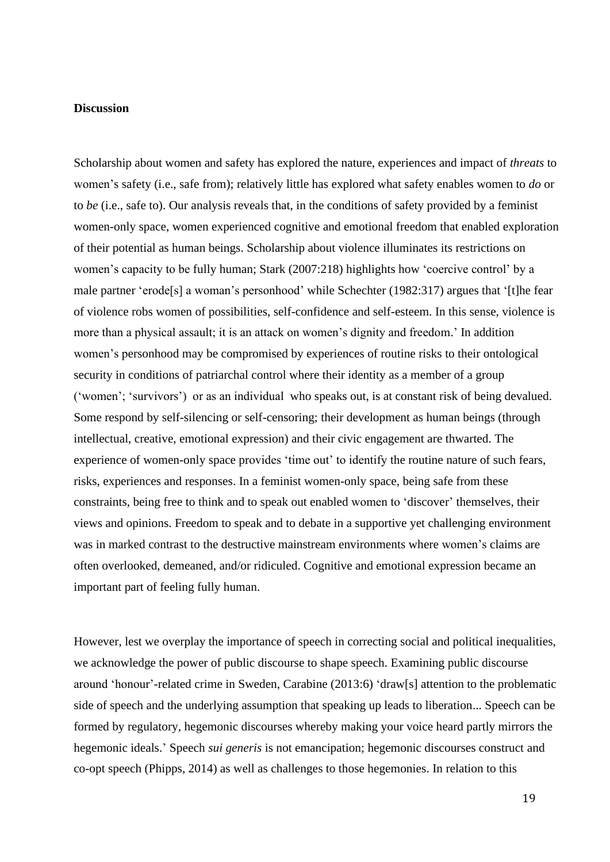# **Discussion**

Scholarship about women and safety has explored the nature, experiences and impact of *threats* to women's safety (i.e., safe from); relatively little has explored what safety enables women to *do* or to *be* (i.e., safe to). Our analysis reveals that, in the conditions of safety provided by a feminist women-only space, women experienced cognitive and emotional freedom that enabled exploration of their potential as human beings. Scholarship about violence illuminates its restrictions on women's capacity to be fully human; [Stark \(2007:218\)](#page-24-15) highlights how 'coercive control' by a male partner 'erode[s] a woman's personhood' while [Schechter \(1982:317\)](#page-24-16) argues that '[t]he fear of violence robs women of possibilities, self-confidence and self-esteem. In this sense, violence is more than a physical assault; it is an attack on women's dignity and freedom.' In addition women's personhood may be compromised by experiences of routine risks to their ontological security in conditions of patriarchal control where their identity as a member of a group ('women'; 'survivors') or as an individual who speaks out, is at constant risk of being devalued. Some respond by self-silencing or self-censoring; their development as human beings (through intellectual, creative, emotional expression) and their civic engagement are thwarted. The experience of women-only space provides 'time out' to identify the routine nature of such fears, risks, experiences and responses. In a feminist women-only space, being safe from these constraints, being free to think and to speak out enabled women to 'discover' themselves, their views and opinions. Freedom to speak and to debate in a supportive yet challenging environment was in marked contrast to the destructive mainstream environments where women's claims are often overlooked, demeaned, and/or ridiculed. Cognitive and emotional expression became an important part of feeling fully human.

However, lest we overplay the importance of speech in correcting social and political inequalities, we acknowledge the power of public discourse to shape speech. Examining public discourse around 'honour'-related crime in Sweden, Carabine (2013:6) 'draw[s] attention to the problematic side of speech and the underlying assumption that speaking up leads to liberation... Speech can be formed by regulatory, hegemonic discourses whereby making your voice heard partly mirrors the hegemonic ideals.' Speech *sui generis* is not emancipation; hegemonic discourses construct and co-opt speech [\(Phipps, 2014\)](#page-24-7) as well as challenges to those hegemonies. In relation to this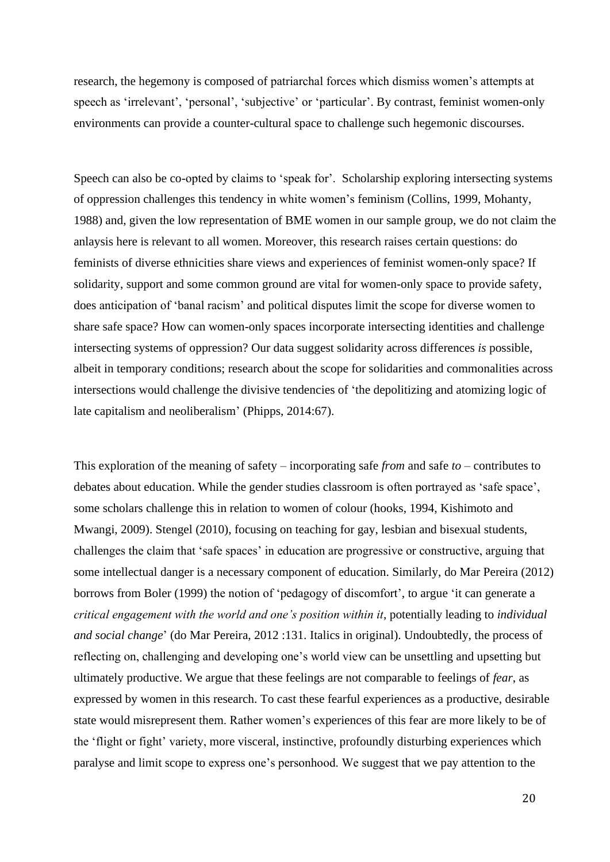research, the hegemony is composed of patriarchal forces which dismiss women's attempts at speech as 'irrelevant', 'personal', 'subjective' or 'particular'. By contrast, feminist women-only environments can provide a counter-cultural space to challenge such hegemonic discourses.

Speech can also be co-opted by claims to 'speak for'. Scholarship exploring intersecting systems of oppression challenges this tendency in white women's feminism [\(Collins, 1999,](#page-22-10) [Mohanty,](#page-23-19)  [1988\)](#page-23-19) and, given the low representation of BME women in our sample group, we do not claim the anlaysis here is relevant to all women. Moreover, this research raises certain questions: do feminists of diverse ethnicities share views and experiences of feminist women-only space? If solidarity, support and some common ground are vital for women-only space to provide safety, does anticipation of 'banal racism' and political disputes limit the scope for diverse women to share safe space? How can women-only spaces incorporate intersecting identities and challenge intersecting systems of oppression? Our data suggest solidarity across differences *is* possible, albeit in temporary conditions; research about the scope for solidarities and commonalities across intersections would challenge the divisive tendencies of 'the depolitizing and atomizing logic of late capitalism and neoliberalism' [\(Phipps, 2014:67\)](#page-24-7).

This exploration of the meaning of safety – incorporating safe *from* and safe *to* – contributes to debates about education. While the gender studies classroom is often portrayed as 'safe space', some scholars challenge this in relation to women of colour [\(hooks, 1994,](#page-23-20) [Kishimoto and](#page-23-21)  [Mwangi, 2009\)](#page-23-21). [Stengel \(2010\),](#page-24-14) focusing on teaching for gay, lesbian and bisexual students, challenges the claim that 'safe spaces' in education are progressive or constructive, arguing that some intellectual danger is a necessary component of education. Similarly, [do Mar Pereira \(2012\)](#page-23-22) borrows from [Boler \(1999\)](#page-22-11) the notion of 'pedagogy of discomfort', to argue 'it can generate a *critical engagement with the world and one's position within it*, potentially leading to *individual and social change*' [\(do Mar Pereira, 2012 :131. Italics in original\)](#page-23-22). Undoubtedly, the process of reflecting on, challenging and developing one's world view can be unsettling and upsetting but ultimately productive. We argue that these feelings are not comparable to feelings of *fear*, as expressed by women in this research. To cast these fearful experiences as a productive, desirable state would misrepresent them. Rather women's experiences of this fear are more likely to be of the 'flight or fight' variety, more visceral, instinctive, profoundly disturbing experiences which paralyse and limit scope to express one's personhood. We suggest that we pay attention to the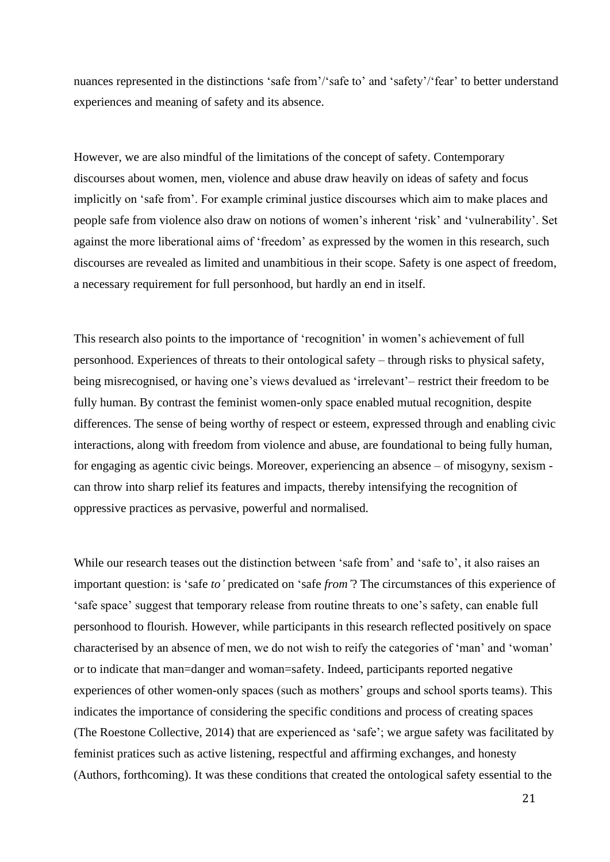nuances represented in the distinctions 'safe from'/'safe to' and 'safety'/'fear' to better understand experiences and meaning of safety and its absence.

However, we are also mindful of the limitations of the concept of safety. Contemporary discourses about women, men, violence and abuse draw heavily on ideas of safety and focus implicitly on 'safe from'. For example criminal justice discourses which aim to make places and people safe from violence also draw on notions of women's inherent 'risk' and 'vulnerability'. Set against the more liberational aims of 'freedom' as expressed by the women in this research, such discourses are revealed as limited and unambitious in their scope. Safety is one aspect of freedom, a necessary requirement for full personhood, but hardly an end in itself.

This research also points to the importance of 'recognition' in women's achievement of full personhood. Experiences of threats to their ontological safety – through risks to physical safety, being misrecognised, or having one's views devalued as 'irrelevant'– restrict their freedom to be fully human. By contrast the feminist women-only space enabled mutual recognition, despite differences. The sense of being worthy of respect or esteem, expressed through and enabling civic interactions, along with freedom from violence and abuse, are foundational to being fully human, for engaging as agentic civic beings. Moreover, experiencing an absence – of misogyny, sexism can throw into sharp relief its features and impacts, thereby intensifying the recognition of oppressive practices as pervasive, powerful and normalised.

While our research teases out the distinction between 'safe from' and 'safe to', it also raises an important question: is 'safe *to'* predicated on 'safe *from'*? The circumstances of this experience of 'safe space' suggest that temporary release from routine threats to one's safety, can enable full personhood to flourish. However, while participants in this research reflected positively on space characterised by an absence of men, we do not wish to reify the categories of 'man' and 'woman' or to indicate that man=danger and woman=safety. Indeed, participants reported negative experiences of other women-only spaces (such as mothers' groups and school sports teams). This indicates the importance of considering the specific conditions and process of creating spaces [\(The Roestone Collective, 2014\)](#page-24-0) that are experienced as 'safe'; we argue safety was facilitated by feminist pratices such as active listening, respectful and affirming exchanges, and honesty (Authors, forthcoming). It was these conditions that created the ontological safety essential to the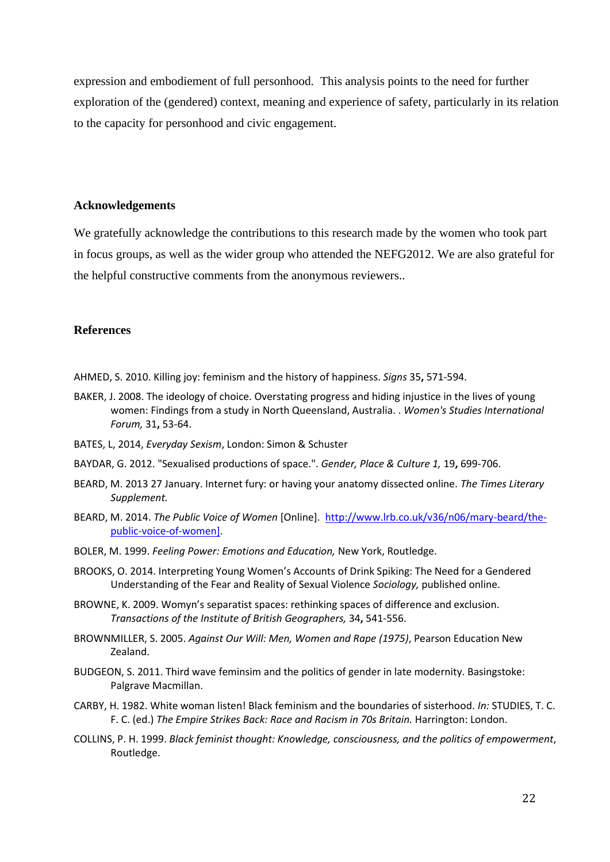expression and embodiement of full personhood. This analysis points to the need for further exploration of the (gendered) context, meaning and experience of safety, particularly in its relation to the capacity for personhood and civic engagement.

#### **Acknowledgements**

We gratefully acknowledge the contributions to this research made by the women who took part in focus groups, as well as the wider group who attended the NEFG2012. We are also grateful for the helpful constructive comments from the anonymous reviewers..

#### **References**

- <span id="page-22-7"></span>AHMED, S. 2010. Killing joy: feminism and the history of happiness. *Signs* 35**,** 571-594.
- <span id="page-22-4"></span>BAKER, J. 2008. The ideology of choice. Overstating progress and hiding injustice in the lives of young women: Findings from a study in North Queensland, Australia. . *Women's Studies International Forum,* 31**,** 53-64.
- BATES, L, 2014, *Everyday Sexism*, London: Simon & Schuster
- <span id="page-22-3"></span>BAYDAR, G. 2012. "Sexualised productions of space.". *Gender, Place & Culture 1,* 19**,** 699-706.
- <span id="page-22-5"></span>BEARD, M. 2013 27 January. Internet fury: or having your anatomy dissected online. *The Times Literary Supplement.*
- <span id="page-22-6"></span>BEARD, M. 2014. *The Public Voice of Women* [Online]. [http://www.lrb.co.uk/v36/n06/mary-beard/the](http://www.lrb.co.uk/v36/n06/mary-beard/the-public-voice-of-women%5d)[public-voice-of-women\].](http://www.lrb.co.uk/v36/n06/mary-beard/the-public-voice-of-women%5d)
- <span id="page-22-11"></span>BOLER, M. 1999. *Feeling Power: Emotions and Education,* New York, Routledge.
- <span id="page-22-8"></span>BROOKS, O. 2014. Interpreting Young Women's Accounts of Drink Spiking: The Need for a Gendered Understanding of the Fear and Reality of Sexual Violence *Sociology,* published online.
- <span id="page-22-0"></span>BROWNE, K. 2009. Womyn's separatist spaces: rethinking spaces of difference and exclusion. *Transactions of the Institute of British Geographers,* 34**,** 541-556.
- <span id="page-22-2"></span>BROWNMILLER, S. 2005. *Against Our Will: Men, Women and Rape (1975)*, Pearson Education New Zealand.
- <span id="page-22-1"></span>BUDGEON, S. 2011. Third wave feminsim and the politics of gender in late modernity. Basingstoke: Palgrave Macmillan.
- <span id="page-22-9"></span>CARBY, H. 1982. White woman listen! Black feminism and the boundaries of sisterhood. *In:* STUDIES, T. C. F. C. (ed.) *The Empire Strikes Back: Race and Racism in 70s Britain.* Harrington: London.
- <span id="page-22-10"></span>COLLINS, P. H. 1999. *Black feminist thought: Knowledge, consciousness, and the politics of empowerment*, Routledge.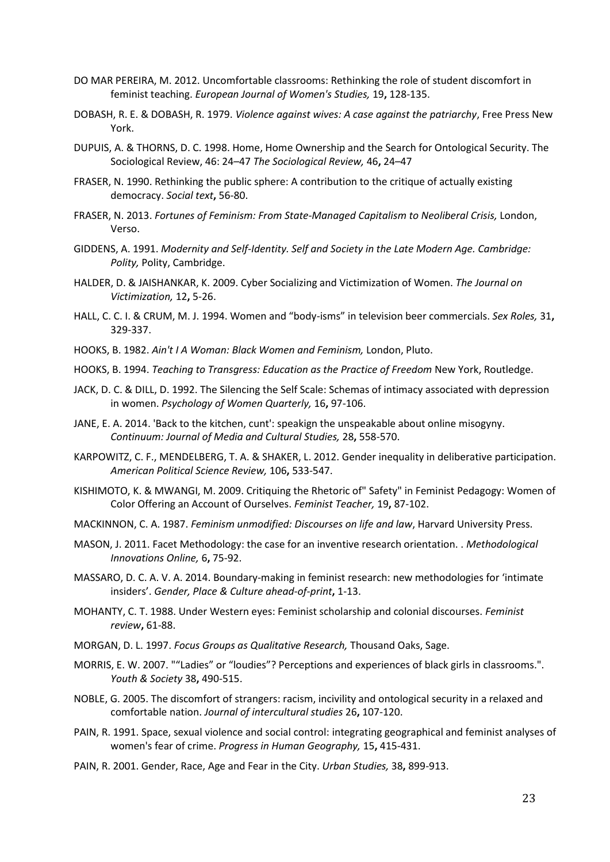- <span id="page-23-22"></span>DO MAR PEREIRA, M. 2012. Uncomfortable classrooms: Rethinking the role of student discomfort in feminist teaching. *European Journal of Women's Studies,* 19**,** 128-135.
- <span id="page-23-0"></span>DOBASH, R. E. & DOBASH, R. 1979. *Violence against wives: A case against the patriarchy*, Free Press New York.
- <span id="page-23-13"></span>DUPUIS, A. & THORNS, D. C. 1998. Home, Home Ownership and the Search for Ontological Security. The Sociological Review, 46: 24–47 *The Sociological Review,* 46**,** 24–47
- <span id="page-23-8"></span>FRASER, N. 1990. Rethinking the public sphere: A contribution to the critique of actually existing democracy. *Social text***,** 56-80.
- <span id="page-23-11"></span>FRASER, N. 2013. *Fortunes of Feminism: From State-Managed Capitalism to Neoliberal Crisis,* London, Verso.
- <span id="page-23-12"></span>GIDDENS, A. 1991. *Modernity and Self-Identity. Self and Society in the Late Modern Age. Cambridge: Polity,* Polity, Cambridge.
- <span id="page-23-5"></span>HALDER, D. & JAISHANKAR, K. 2009. Cyber Socializing and Victimization of Women. *The Journal on Victimization,* 12**,** 5-26.
- <span id="page-23-3"></span>HALL, C. C. I. & CRUM, M. J. 1994. Women and "body-isms" in television beer commercials. *Sex Roles,* 31**,** 329-337.
- <span id="page-23-18"></span>HOOKS, B. 1982. *Ain't I A Woman: Black Women and Feminism,* London, Pluto.
- <span id="page-23-20"></span>HOOKS, B. 1994. *Teaching to Transgress: Education as the Practice of Freedom* New York, Routledge.
- <span id="page-23-9"></span>JACK, D. C. & DILL, D. 1992. The Silencing the Self Scale: Schemas of intimacy associated with depression in women. *Psychology of Women Quarterly,* 16**,** 97-106.
- <span id="page-23-6"></span>JANE, E. A. 2014. 'Back to the kitchen, cunt': speakign the unspeakable about online misogyny. *Continuum: Journal of Media and Cultural Studies,* 28**,** 558-570.
- <span id="page-23-7"></span>KARPOWITZ, C. F., MENDELBERG, T. A. & SHAKER, L. 2012. Gender inequality in deliberative participation. *American Political Science Review,* 106**,** 533-547.
- <span id="page-23-21"></span>KISHIMOTO, K. & MWANGI, M. 2009. Critiquing the Rhetoric of" Safety" in Feminist Pedagogy: Women of Color Offering an Account of Ourselves. *Feminist Teacher,* 19**,** 87-102.
- <span id="page-23-1"></span>MACKINNON, C. A. 1987. *Feminism unmodified: Discourses on life and law*, Harvard University Press.
- <span id="page-23-17"></span>MASON, J. 2011. Facet Methodology: the case for an inventive research orientation. . *Methodological Innovations Online,* 6**,** 75-92.
- <span id="page-23-15"></span>MASSARO, D. C. A. V. A. 2014. Boundary-making in feminist research: new methodologies for 'intimate insiders'. *Gender, Place & Culture ahead-of-print***,** 1-13.
- <span id="page-23-19"></span>MOHANTY, C. T. 1988. Under Western eyes: Feminist scholarship and colonial discourses. *Feminist review***,** 61-88.
- <span id="page-23-16"></span>MORGAN, D. L. 1997. *Focus Groups as Qualitative Research,* Thousand Oaks, Sage.
- <span id="page-23-10"></span>MORRIS, E. W. 2007. ""Ladies" or "loudies"? Perceptions and experiences of black girls in classrooms.". *Youth & Society* 38**,** 490-515.
- <span id="page-23-14"></span>NOBLE, G. 2005. The discomfort of strangers: racism, incivility and ontological security in a relaxed and comfortable nation. *Journal of intercultural studies* 26**,** 107-120.
- <span id="page-23-2"></span>PAIN, R. 1991. Space, sexual violence and social control: integrating geographical and feminist analyses of women's fear of crime. *Progress in Human Geography,* 15**,** 415-431.
- <span id="page-23-4"></span>PAIN, R. 2001. Gender, Race, Age and Fear in the City. *Urban Studies,* 38**,** 899-913.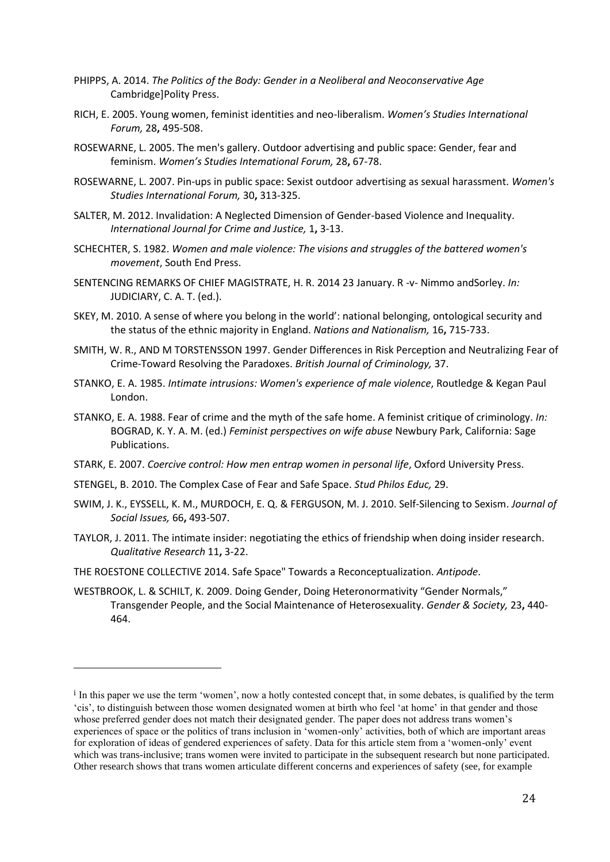- <span id="page-24-7"></span>PHIPPS, A. 2014. *The Politics of the Body: Gender in a Neoliberal and Neoconservative Age*  Cambridge]Polity Press.
- <span id="page-24-6"></span>RICH, E. 2005. Young women, feminist identities and neo-liberalism. *Women's Studies International Forum,* 28**,** 495-508.
- <span id="page-24-13"></span>ROSEWARNE, L. 2005. The men's gallery. Outdoor advertising and public space: Gender, fear and feminism. *Women's Studies Intemational Forum,* 28**,** 67-78.
- <span id="page-24-3"></span>ROSEWARNE, L. 2007. Pin-ups in public space: Sexist outdoor advertising as sexual harassment. *Women's Studies International Forum,* 30**,** 313-325.
- <span id="page-24-8"></span>SALTER, M. 2012. Invalidation: A Neglected Dimension of Gender-based Violence and Inequality. *International Journal for Crime and Justice,* 1**,** 3-13.
- <span id="page-24-16"></span>SCHECHTER, S. 1982. *Women and male violence: The visions and struggles of the battered women's movement*, South End Press.
- <span id="page-24-12"></span>SENTENCING REMARKS OF CHIEF MAGISTRATE, H. R. 2014 23 January. R -v- Nimmo andSorley. *In:* JUDICIARY, C. A. T. (ed.).
- <span id="page-24-10"></span>SKEY, M. 2010. A sense of where you belong in the world': national belonging, ontological security and the status of the ethnic majority in England. *Nations and Nationalism,* 16**,** 715-733.
- <span id="page-24-5"></span>SMITH, W. R., AND M TORSTENSSON 1997. Gender Differences in Risk Perception and Neutralizing Fear of Crime-Toward Resolving the Paradoxes. *British Journal of Criminology,* 37.
- <span id="page-24-2"></span>STANKO, E. A. 1985. *Intimate intrusions: Women's experience of male violence*, Routledge & Kegan Paul London.
- <span id="page-24-4"></span>STANKO, E. A. 1988. Fear of crime and the myth of the safe home. A feminist critique of criminology. *In:* BOGRAD, K. Y. A. M. (ed.) *Feminist perspectives on wife abuse* Newbury Park, California: Sage Publications.
- <span id="page-24-15"></span>STARK, E. 2007. *Coercive control: How men entrap women in personal life*, Oxford University Press.
- <span id="page-24-14"></span>STENGEL, B. 2010. The Complex Case of Fear and Safe Space. *Stud Philos Educ,* 29.
- <span id="page-24-9"></span>SWIM, J. K., EYSSELL, K. M., MURDOCH, E. Q. & FERGUSON, M. J. 2010. Self‐Silencing to Sexism. *Journal of Social Issues,* 66**,** 493-507.
- <span id="page-24-11"></span>TAYLOR, J. 2011. The intimate insider: negotiating the ethics of friendship when doing insider research. *Qualitative Research* 11**,** 3-22.
- <span id="page-24-0"></span>THE ROESTONE COLLECTIVE 2014. Safe Space" Towards a Reconceptualization. *Antipode*.
- <span id="page-24-1"></span>WESTBROOK, L. & SCHILT, K. 2009. Doing Gender, Doing Heteronormativity "Gender Normals," Transgender People, and the Social Maintenance of Heterosexuality. *Gender & Society,* 23**,** 440- 464.

<sup>&</sup>lt;sup>i</sup> In this paper we use the term 'women', now a hotly contested concept that, in some debates, is qualified by the term 'cis', to distinguish between those women designated women at birth who feel 'at home' in that gender and those whose preferred gender does not match their designated gender. The paper does not address trans women's experiences of space or the politics of trans inclusion in 'women-only' activities, both of which are important areas for exploration of ideas of gendered experiences of safety. Data for this article stem from a 'women-only' event which was trans-inclusive; trans women were invited to participate in the subsequent research but none participated. Other research shows that trans women articulate different concerns and experiences of safety (see, for example